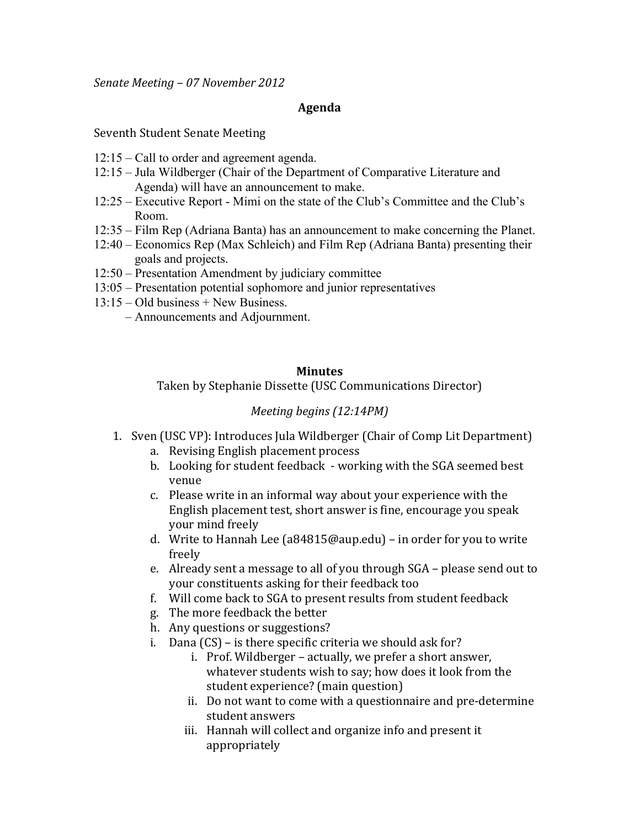*Senate&Meeting&– 07&November 2012*

## **Agenda**

Seventh Student Senate Meeting

- 12:15 Call to order and agreement agenda.
- 12:15 Jula Wildberger (Chair of the Department of Comparative Literature and Agenda) will have an announcement to make.
- 12:25 Executive Report Mimi on the state of the Club's Committee and the Club's Room.
- 12:35 Film Rep (Adriana Banta) has an announcement to make concerning the Planet.
- 12:40 Economics Rep (Max Schleich) and Film Rep (Adriana Banta) presenting their goals and projects.
- 12:50 Presentation Amendment by judiciary committee
- 13:05 Presentation potential sophomore and junior representatives
- 13:15 Old business + New Business.
	- Announcements and Adjournment.

## **Minutes**

Taken by Stephanie Dissette (USC Communications Director)

## *Meeting begins (12:14PM)*

- 1. Sven (USC VP): Introduces Jula Wildberger (Chair of Comp Lit Department)
	- a. Revising English placement process
	- b. Looking for student feedback working with the SGA seemed best venue
	- c. Please write in an informal way about your experience with the English placement test, short answer is fine, encourage you speak your mind freely
	- d. Write to Hannah Lee (a84815@aup.edu) in order for you to write freely'
	- e. Already sent a message to all of you through SGA please send out to your constituents asking for their feedback too
	- f. Will come back to SGA to present results from student feedback
	- g. The more feedback the better
	- h. Any questions or suggestions?
	- i. Dana  $(CS)$  is there specific criteria we should ask for?
		- i. Prof. Wildberger actually, we prefer a short answer, whatever students wish to say; how does it look from the student experience? (main question)
		- ii. Do not want to come with a questionnaire and pre-determine student answers
		- iii. Hannah will collect and organize info and present it appropriately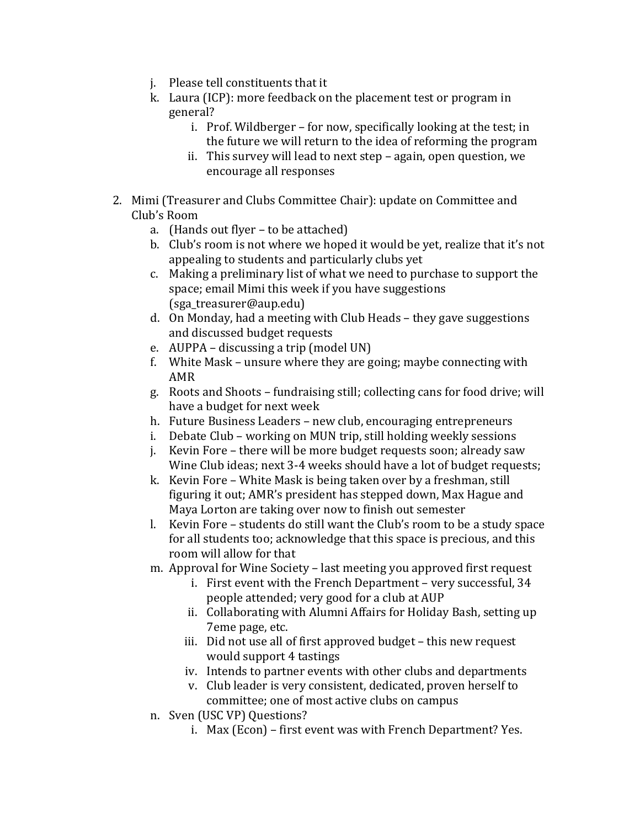- j. Please tell constituents that it
- k. Laura (ICP): more feedback on the placement test or program in general?'
	- i. Prof. Wildberger for now, specifically looking at the test; in the future we will return to the idea of reforming the program
	- ii. This survey will lead to next step again, open question, we encourage all responses
- 2. Mimi (Treasurer and Clubs Committee Chair): update on Committee and Club's Room
	- a. (Hands out flyer to be attached)
	- b. Club's room is not where we hoped it would be yet, realize that it's not appealing to students and particularly clubs yet
	- c. Making a preliminary list of what we need to purchase to support the space; email Mimi this week if you have suggestions' (sga\_treasurer@aup.edu)
	- d. On Monday, had a meeting with Club Heads they gave suggestions and discussed budget requests
	- e. AUPPA discussing a trip (model UN)
	- f. White Mask unsure where they are going; maybe connecting with AMR
	- g. Roots and Shoots fundraising still; collecting cans for food drive; will have a budget for next week
	- h. Future Business Leaders new club, encouraging entrepreneurs
	- i. Debate Club working on MUN trip, still holding weekly sessions
	- j. Kevin Fore there will be more budget requests soon; already saw Wine Club ideas; next 3-4 weeks should have a lot of budget requests;
	- k. Kevin Fore White Mask is being taken over by a freshman, still figuring it out; AMR's president has stepped down, Max Hague and Maya Lorton are taking over now to finish out semester
	- l. Kevin Fore students do still want the Club's room to be a study space for all students too; acknowledge that this space is precious, and this room will allow for that
	- m. Approval for Wine Society last meeting you approved first request
		- i. First event with the French Department very successful, 34 people attended; very good for a club at AUP
		- ii. Collaborating with Alumni Affairs for Holiday Bash, setting up 7eme page, etc.
		- iii. Did not use all of first approved budget this new request would support 4 tastings
		- iv. Intends to partner events with other clubs and departments
		- v. Club leader is very consistent, dedicated, proven herself to committee; one of most active clubs on campus
	- n. Sven (USC VP) Questions?
		- i. Max (Econ) first event was with French Department? Yes.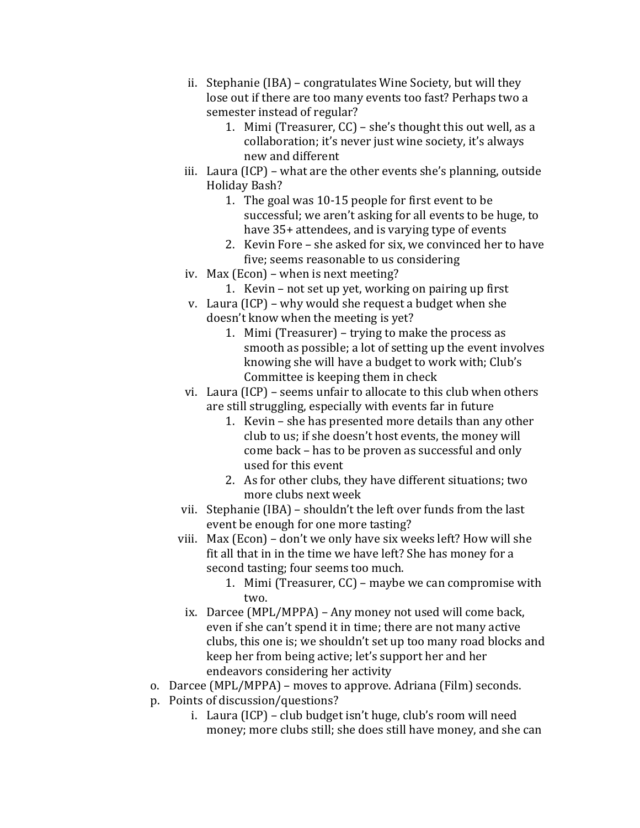- ii. Stephanie (IBA) congratulates Wine Society, but will they lose out if there are too many events too fast? Perhaps two a semester instead of regular?
	- 1. Mimi (Treasurer,  $CC$ ) she's thought this out well, as a collaboration; it's never just wine society, it's always new and different
- iii. Laura (ICP) what are the other events she's planning, outside Holiday Bash?
	- 1. The goal was  $10-15$  people for first event to be successful; we aren't asking for all events to be huge, to have 35+ attendees, and is varying type of events
	- 2. Kevin Fore she asked for six, we convinced her to have five; seems reasonable to us considering
- iv. Max (Econ) when is next meeting?
	- 1. Kevin not set up yet, working on pairing up first
- v. Laura (ICP) why would she request a budget when she doesn't know when the meeting is yet?
	- 1. Mimi (Treasurer) trying to make the process as smooth as possible; a lot of setting up the event involves knowing she will have a budget to work with; Club's Committee is keeping them in check
- vi. Laura (ICP) seems unfair to allocate to this club when others are still struggling, especially with events far in future
	- 1. Kevin she has presented more details than any other club to us; if she doesn't host events, the money will come back – has to be proven as successful and only used for this event
	- 2. As for other clubs, they have different situations; two more clubs next week
- vii. Stephanie (IBA) shouldn't the left over funds from the last event be enough for one more tasting?
- viii. Max (Econ) don't we only have six weeks left? How will she fit all that in in the time we have left? She has money for a second tasting; four seems too much.
	- 1. Mimi (Treasurer,  $CC$ ) maybe we can compromise with two.'
	- ix. Darcee (MPL/MPPA) Any money not used will come back, even if she can't spend it in time; there are not many active clubs, this one is; we shouldn't set up too many road blocks and keep her from being active; let's support her and her endeavors considering her activity
- o. Darcee (MPL/MPPA) moves to approve. Adriana (Film) seconds.
- p. Points of discussion/questions?
	- i. Laura (ICP) club budget isn't huge, club's room will need money; more clubs still; she does still have money, and she can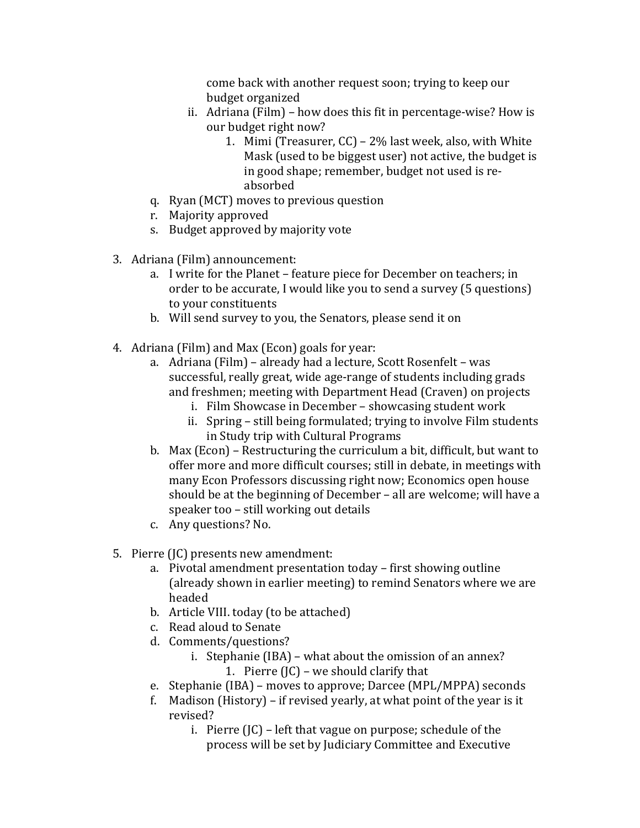come back with another request soon; trying to keep our budget organized

- ii. Adriana (Film) how does this fit in percentage-wise? How is our budget right now?
	- 1. Mimi (Treasurer,  $CC$ ) 2% last week, also, with White Mask (used to be biggest user) not active, the budget is in good shape; remember, budget not used is reabsorbed
- q. Ryan (MCT) moves to previous question
- r. Majority'approved
- s. Budget approved by majority vote
- 3. Adriana (Film) announcement:
	- a. I write for the Planet feature piece for December on teachers; in order to be accurate, I would like you to send a survey (5 questions) to your constituents
	- b. Will send survey to you, the Senators, please send it on
- 4. Adriana (Film) and Max (Econ) goals for year:
	- a. Adriana (Film) already had a lecture, Scott Rosenfelt was successful, really great, wide age-range of students including grads and freshmen; meeting with Department Head (Craven) on projects
		- i. Film Showcase in December showcasing student work
		- ii. Spring still being formulated; trying to involve Film students in Study trip with Cultural Programs
	- b. Max (Econ) Restructuring the curriculum a bit, difficult, but want to offer more and more difficult courses; still in debate, in meetings with many Econ Professors discussing right now; Economics open house should be at the beginning of December – all are welcome; will have a speaker too – still working out details
	- c. Any questions? No.
- 5. Pierre (JC) presents new amendment:
	- a. Pivotal amendment presentation today first showing outline (already shown in earlier meeting) to remind Senators where we are headed
	- b. Article VIII. today (to be attached)
	- c. Read aloud to Senate
	- d. Comments/questions?
		- i. Stephanie (IBA) what about the omission of an annex? 1. Pierre  $\left(\begin{matrix} 1 \\ 0 \end{matrix}\right)$  – we should clarify that
	- e. Stephanie (IBA) moves to approve; Darcee (MPL/MPPA) seconds
	- f. Madison (History) if revised yearly, at what point of the year is it revised?'
		- i. Pierre  $\left(\begin{bmatrix} C \end{bmatrix}\right)$  left that vague on purpose; schedule of the process will be set by Judiciary Committee and Executive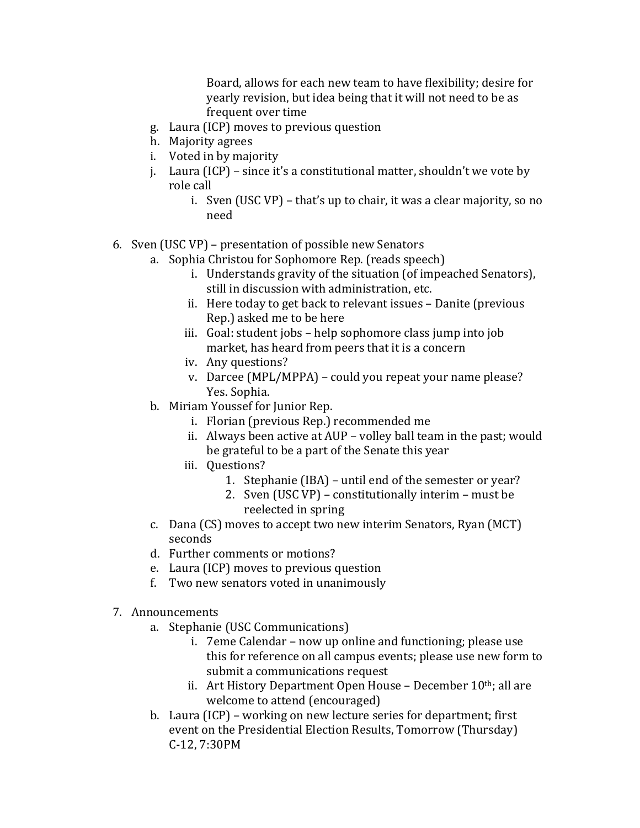Board, allows for each new team to have flexibility; desire for yearly revision, but idea being that it will not need to be as frequent over time

- g. Laura (ICP) moves to previous question
- h. Majority agrees
- i. Voted in by majority
- j. Laura (ICP) since it's a constitutional matter, shouldn't we vote by role call
	- i. Sven (USC VP) that's up to chair, it was a clear majority, so no need
- 6. Sven (USC VP) presentation of possible new Senators
	- a. Sophia Christou for Sophomore Rep. (reads speech)
		- i. Understands gravity of the situation (of impeached Senators), still in discussion with administration, etc.
		- ii. Here today to get back to relevant issues Danite (previous' Rep.) asked me to be here
		- iii. Goal: student jobs help sophomore class jump into job market, has heard from peers that it is a concern
		- iv. Any questions?
		- v. Darcee (MPL/MPPA) could you repeat your name please? Yes. Sophia.
	- b. Miriam Youssef for Junior Rep.
		- i. Florian (previous Rep.) recommended me
		- ii. Always been active at AUP volley ball team in the past; would be grateful to be a part of the Senate this year
		- iii. Questions?
			- 1. Stephanie (IBA) until end of the semester or year?
				- 2. Sven (USC VP) constitutionally interim must be reelected in spring
	- c. Dana (CS) moves to accept two new interim Senators, Ryan (MCT) seconds
	- d. Further comments or motions?
	- e. Laura (ICP) moves to previous question
	- f. Two new senators voted in unanimously
- 7. Announcements
	- a. Stephanie (USC Communications)
		- i. 7eme Calendar now up online and functioning; please use this for reference on all campus events; please use new form to submit a communications request
		- ii. Art History Department Open House December  $10<sup>th</sup>$ ; all are welcome to attend (encouraged)
	- b. Laura (ICP) working on new lecture series for department; first event on the Presidential Election Results, Tomorrow (Thursday) C-12, 7:30PM